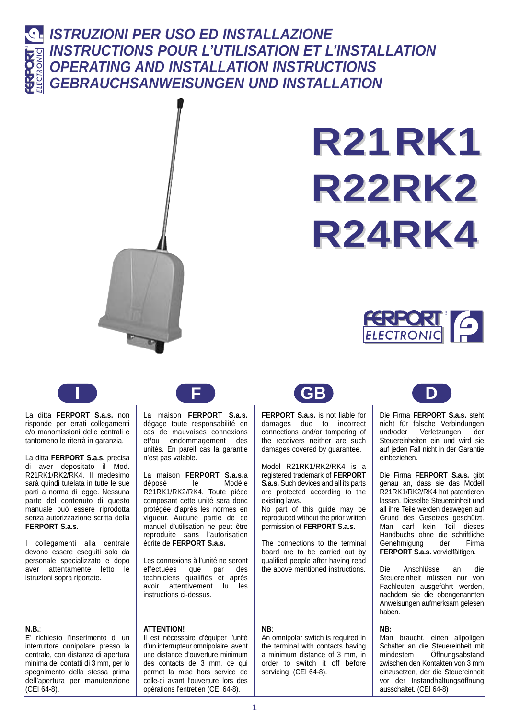

## **ISTRUZIONI PER USO ED INSTALLAZIONE INSTRUCTIONS POUR L'UTILISATION ET L'INSTALLATION OPERATING AND INSTALLATION INSTRUCTIONS GEBRAUCHSANWEISUNGEN UND INSTALLATION**



# **R21RK1 R22RK2 R24RK4**





La ditta **FERPORT S.a.s.** non risponde per errati collegamenti e/o manomissioni delle centrali e tantomeno le riterrà in garanzia.

La ditta **FERPORT S.a.s.** precisa di aver depositato il Mod. R21RK1/RK2/RK4. Il medesimo sarà quindi tutelata in tutte le sue parti a norma di legge. Nessuna parte del contenuto di questo manuale può essere riprodotta senza autorizzazione scritta della **FERPORT S.a.s.**

I collegamenti alla centrale devono essere eseguiti solo da personale specializzato e dopo aver attentamente letto le istruzioni sopra riportate.

#### **N.B.**:

E' richiesto l'inserimento di un interruttore onnipolare presso la centrale, con distanza di apertura minima dei contatti di 3 mm, per lo spegnimento della stessa prima dell'apertura per manutenzione (CEI 64-8).



La maison **FERPORT S.a.s.** dégage toute responsabilité en cas de mauvaises connexions et/ou endommagement des unités. En pareil cas la garantie n'est pas valable.

La maison **FERPORT S.a.s.**a déposé le Modèle R21RK1/RK2/RK4. Toute pièce composant cette unité sera donc protégée d'après les normes en vigueur. Aucune partie de ce manuel d'utilisation ne peut être reproduite sans l'autorisation écrite de **FERPORT S.a.s.**

Les connexions à l'unité ne seront effectuées que par des techniciens qualifiés et après avoir attentivement lu les instructions ci-dessus.

#### **ATTENTION!**

Il est nécessaire d'équiper l'unité d'un interrupteur omnipolaire, avent une distance d'ouverture minimum des contacts de 3 mm. ce qui permet la mise hors service de celle-ci avant l'ouverture lors des opérations l'entretien (CEI 64-8).



**FERPORT S.a.s.** is not liable for damages due to incorrect connections and/or tampering of the receivers neither are such damages covered by guarantee.

Model R21RK1/RK2/RK4 is a registered trademark of **FERPORT S.a.s.** Such devices and all its parts are protected according to the existing laws.

No part of this guide may be reproduced without the prior written permission of **FERPORT S.a.s.**

The connections to the terminal board are to be carried out by qualified people after having read the above mentioned instructions.

#### **NB**:

An omnipolar switch is required in the terminal with contacts having a minimum distance of 3 mm, in order to switch it off before servicing (CEI 64-8).



Die Firma **FERPORT S.a.s.** steht nicht für falsche Verbindungen und/oder Verletzungen der Steuereinheiten ein und wird sie auf jeden Fall nicht in der Garantie einbeziehen.

Die Firma **FERPORT S.a.s.** gibt genau an, dass sie das Modell R21RK1/RK2/RK4 hat patentieren lassen. Dieselbe Steuereinheit und all ihre Teile werden deswegen auf Grund des Gesetzes geschützt. Man darf kein Teil dieses Handbuchs ohne die schriftliche Genehmigung der Firma **FERPORT S.a.s.** vervielfältigen.

Die Anschlüsse an die Steuereinheit müssen nur von Fachleuten ausgeführt werden, nachdem sie die obengenannten Anweisungen aufmerksam gelesen haben.

#### **NB:**

Man braucht, einen allpoligen Schalter an die Steuereinheit mit mindestem Öffnungsabstand zwischen den Kontakten von 3 mm einzusetzen, der die Steuereinheit vor der Instandhaltungsöffnung ausschaltet. (CEI 64-8)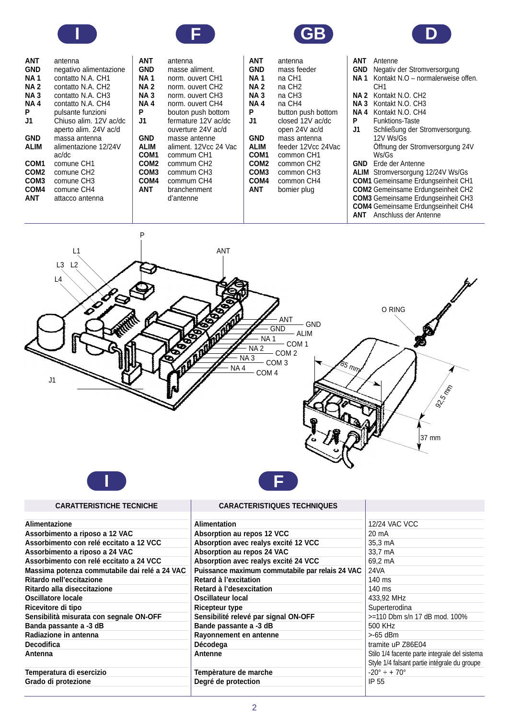







| ANT<br>GND<br>NA 1<br>NA 2<br><b>NA3</b><br>NA 4<br>P<br>J1<br>GND<br>ALIM<br>COM1 | antenna<br>negativo alimentazione<br>contatto N.A. CH1<br>contatto N.A. CH2<br>contatto N.A. CH3<br>contatto N.A. CH4<br>pulsante funzioni<br>Chiuso alim. 12V ac/dc<br>aperto alim. 24V ac/d<br>massa antenna<br>alimentazione 12/24V<br>ac/dc<br>comune CH1 |
|------------------------------------------------------------------------------------|---------------------------------------------------------------------------------------------------------------------------------------------------------------------------------------------------------------------------------------------------------------|
|                                                                                    |                                                                                                                                                                                                                                                               |
| COM2                                                                               | comune CH2                                                                                                                                                                                                                                                    |
| COM <sub>3</sub>                                                                   | comune CH3                                                                                                                                                                                                                                                    |
| COM4                                                                               | comune CH4                                                                                                                                                                                                                                                    |
| ANT                                                                                |                                                                                                                                                                                                                                                               |
|                                                                                    | attacco antenna                                                                                                                                                                                                                                               |
|                                                                                    |                                                                                                                                                                                                                                                               |

| ANT              | antenna                |
|------------------|------------------------|
| <b>GND</b>       | masse aliment.         |
| NA 1             | norm. ouvert CH1       |
| NA 2             | norm. ouvert CH2       |
| NA 3             | norm. ouvert CH3       |
| NA 4             | norm. ouvert CH4       |
| P                | bouton push bottom     |
| J1               | fermature 12V ac/dc    |
|                  | ouverture 24V ac/d     |
| <b>GND</b>       | masse antenne          |
| ALIM             | aliment. 12Vcc 24 Vac  |
| COM1             | commum CH1             |
| COM <sub>2</sub> | commum CH <sub>2</sub> |
| COM <sub>3</sub> | commum CH3             |
| COM <sub>4</sub> | commum CH4             |
| <b>ANT</b>       | branchenment           |
|                  | d'antenne              |
|                  |                        |

| ANT         | antenna            |
|-------------|--------------------|
| GND         | mass feeder        |
| NA 1        | na CH1             |
| NA 2        | na CH2             |
| <b>NA3</b>  | na CH3             |
| NA 4        | na CH4             |
| Р           | button push bottom |
| J1          | closed 12V ac/dc   |
|             | open 24V ac/d      |
| <b>GND</b>  | mass antenna       |
| ALIM        | feeder 12Vcc 24Vac |
| COM1        | common CH1         |
| <b>COM2</b> | common CH2         |
| COM3        | common CH3         |
| COM4        | common CH4         |
| ANT         | bomier plug        |
|             |                    |
|             |                    |

| ANT. | Antenne                                   |
|------|-------------------------------------------|
| GND. | Negativ der Stromversorgung               |
| NA 1 | Kontakt N.O - normalerweise offen.        |
|      | CH1                                       |
| NA 2 | Kontakt N.O. CH <sub>2</sub>              |
|      |                                           |
| NA 3 | Kontakt N.O. CH3                          |
| NA 4 | Kontakt N.O. CH4                          |
| P    | Funktions-Taste                           |
| J1 I | Schließung der Stromversorgung.           |
|      | 12V Ws/Gs                                 |
|      | Offnung der Stromversorgung 24V           |
|      | Ws/Gs                                     |
|      | <b>GND</b> Erde der Antenne               |
|      | <b>ALIM</b> Stromversorgung 12/24V Ws/Gs  |
|      | <b>COM1</b> Gemeinsame Erdungseinheit CH1 |
|      | <b>COM2</b> Gemeinsame Erdungseinheit CH2 |
|      | <b>COM3</b> Gemeinsame Erdungseinheit CH3 |
|      | <b>COM4</b> Gemeinsame Erdungseinheit CH4 |
|      | <b>ANT</b> Anschluss der Antenne          |



**CARACTERISTIQUES TECHNIQUES**

| Alimentazione                                 | <b>Alimentation</b>                             | 12/24 VAC VCC                                 |
|-----------------------------------------------|-------------------------------------------------|-----------------------------------------------|
| Assorbimento a riposo a 12 VAC                | Absorption au repos 12 VCC                      | 20 mA                                         |
| Assorbimento con relé eccitato a 12 VCC       | Absorption avec realys excité 12 VCC            | 35,3 mA                                       |
| Assorbimento a riposo a 24 VAC                | Absorption au repos 24 VAC                      | 33.7 mA                                       |
| Assorbimento con relé eccitato a 24 VCC       | Absorption avec realys excité 24 VCC            | 69.2 mA                                       |
| Massima potenza commutabile dai relé a 24 VAC | Puissance maximum commutabile par relais 24 VAC | 24VA                                          |
| Ritardo nell'eccitazione                      | Retard à l'excitation                           | 140 ms                                        |
| Ritardo alla diseccitazione                   | Retard à l'desexcitation                        | 140 ms                                        |
| Oscillatore locale                            | Oscillateur local                               | 433.92 MHz                                    |
| Ricevitore di tipo                            | <b>Ricepteur type</b>                           | Superterodina                                 |
| Sensibilità misurata con segnale ON-OFF       | Sensibilité relevé par signal ON-OFF            | >=110 Dbm s/n 17 dB mod, 100%                 |
| Banda passante a -3 dB                        | Bande passante a -3 dB                          | 500 KHz                                       |
| Radiazione in antenna                         | Rayonnement en antenne                          | >-65 dBm                                      |
| <b>Decodifica</b>                             | Décodega                                        | tramite uP Z86E04                             |
| Antenna                                       | Antenne                                         | Stilo 1/4 facente parte integrale del sistema |
|                                               |                                                 | Style 1/4 falsant partie intégrale du groupe  |
| Temperatura di esercizio                      | Tempèrature de marche                           | $-20^{\circ} \div + 70^{\circ}$               |
| Grado di protezione                           | Degré de protection                             | IP 55                                         |
|                                               |                                                 |                                               |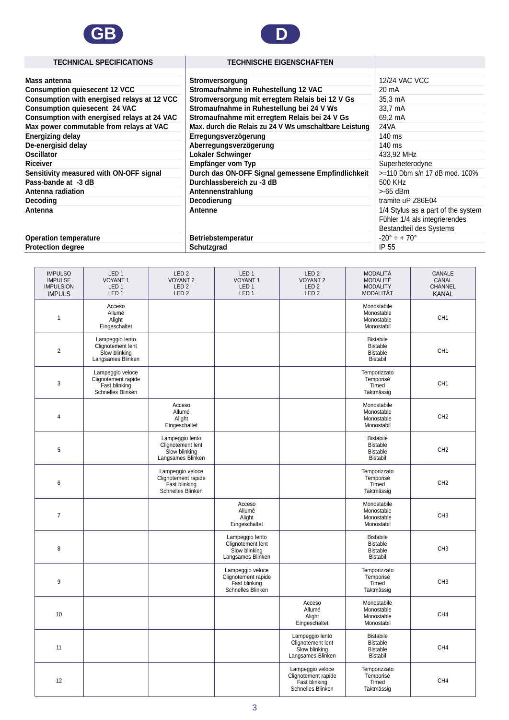



### **TECHNICAL SPECIFICATIONS**

#### **TECHNISCHE EIGENSCHAFTEN**

| Mass antenna                                | Stromversorgung                                        | 12/24 VAC VCC                      |
|---------------------------------------------|--------------------------------------------------------|------------------------------------|
| <b>Consumption quiesecent 12 VCC</b>        | Stromaufnahme in Ruhestellung 12 VAC                   | 20 mA                              |
| Consumption with energised relays at 12 VCC | Stromversorgung mit erregtem Relais bei 12 V Gs        | 35,3 mA                            |
| <b>Consumption quiesecent 24 VAC</b>        | Stromaufnahme in Ruhestellung bei 24 V Ws              | 33,7 mA                            |
| Consumption with energised relays at 24 VAC | Stromaufnahme mit erregtem Relais bei 24 V Gs          | 69,2 mA                            |
| Max power commutable from relays at VAC     | Max. durch die Relais zu 24 V Ws umschaltbare Leistung | 24 VA                              |
| <b>Energizing delay</b>                     | Erregungsverzögerung                                   | 140 ms                             |
| De-energisid delay                          | Aberregungsverzögerung                                 | $140 \text{ ms}$                   |
| <b>Oscillator</b>                           | Lokaler Schwinger                                      | 433,92 MHz                         |
| <b>Riceiver</b>                             | Empfänger vom Typ                                      | Superheterodyne                    |
| Sensitivity measured with ON-OFF signal     | Durch das ON-OFF Signal gemessene Empfindlichkeit      | >=110 Dbm s/n 17 dB mod. 100%      |
| Pass-bande at -3 dB                         | Durchlassbereich zu -3 dB                              | 500 KHz                            |
| Antenna radiation                           | Antennenstrahlung                                      | >-65 dBm                           |
| Decoding                                    | Decodierung                                            | tramite uP Z86E04                  |
| Antenna                                     | Antenne                                                | 1/4 Stylus as a part of the system |
|                                             |                                                        | Fühler 1/4 als integrierendes      |
|                                             |                                                        | Bestandteil des Systems            |
| <b>Operation temperature</b>                | Betriebstemperatur                                     | $-20^{\circ} \div + 70^{\circ}$    |
| <b>Protection degree</b>                    | Schutzgrad                                             | IP 55                              |

| <b>IMPULSO</b><br><b>IMPULSE</b><br><b>IMPULSION</b><br><b>IMPULS</b> | LED <sub>1</sub><br><b>VOYANT1</b><br>LED <sub>1</sub><br>LED <sub>1</sub>    | LED <sub>2</sub><br><b>VOYANT 2</b><br>LED <sub>2</sub><br>LED <sub>2</sub>   | LED <sub>1</sub><br><b>VOYANT1</b><br>LED <sub>1</sub><br>LED <sub>1</sub>    | LED <sub>2</sub><br><b>VOYANT 2</b><br>LED <sub>2</sub><br>LED <sub>2</sub>   | <b>MODALITÁ</b><br><b>MODALITÉ</b><br><b>MODALITY</b><br><b>MODALITÄT</b> | CANALE<br>CANAL<br>CHANNEL<br><b>KANAL</b> |
|-----------------------------------------------------------------------|-------------------------------------------------------------------------------|-------------------------------------------------------------------------------|-------------------------------------------------------------------------------|-------------------------------------------------------------------------------|---------------------------------------------------------------------------|--------------------------------------------|
| $\mathbf{1}$                                                          | Acceso<br>Allumé<br>Alight<br>Eingeschaltet                                   |                                                                               |                                                                               |                                                                               | Monostabile<br>Monostable<br>Monostable<br>Monostabil                     | CH <sub>1</sub>                            |
| $\overline{2}$                                                        | Lampeggio lento<br>Clignotement lent<br>Slow blinking<br>Langsames Blinken    |                                                                               |                                                                               |                                                                               | <b>Bistabile</b><br><b>Bistable</b><br><b>Bistable</b><br><b>Bistabil</b> | CH <sub>1</sub>                            |
| $\mathbf{3}$                                                          | Lampeggio veloce<br>Clignotement rapide<br>Fast blinking<br>Schnelles Blinken |                                                                               |                                                                               |                                                                               | Temporizzato<br>Temporisé<br>Timed<br>Taktmässig                          | CH <sub>1</sub>                            |
| 4                                                                     |                                                                               | Acceso<br>Allumé<br>Alight<br>Eingeschaltet                                   |                                                                               |                                                                               | Monostabile<br>Monostable<br>Monostable<br>Monostabil                     | CH <sub>2</sub>                            |
| 5                                                                     |                                                                               | Lampeggio lento<br>Clignotement lent<br>Slow blinking<br>Langsames Blinken    |                                                                               |                                                                               | <b>Bistabile</b><br><b>Bistable</b><br><b>Bistable</b><br><b>Bistabil</b> | CH <sub>2</sub>                            |
| 6                                                                     |                                                                               | Lampeggio veloce<br>Clignotement rapide<br>Fast blinking<br>Schnelles Blinken |                                                                               |                                                                               | Temporizzato<br>Temporisé<br>Timed<br>Taktmässig                          | CH <sub>2</sub>                            |
| $\boldsymbol{7}$                                                      |                                                                               |                                                                               | Acceso<br>Allumé<br>Alight<br>Eingeschaltet                                   |                                                                               | Monostabile<br>Monostable<br>Monostable<br>Monostabil                     | CH <sub>3</sub>                            |
| 8                                                                     |                                                                               |                                                                               | Lampeggio lento<br>Clignotement lent<br>Slow blinking<br>Langsames Blinken    |                                                                               | <b>Bistabile</b><br><b>Bistable</b><br><b>Bistable</b><br><b>Bistabil</b> | CH <sub>3</sub>                            |
| 9                                                                     |                                                                               |                                                                               | Lampeggio veloce<br>Clignotement rapide<br>Fast blinking<br>Schnelles Blinken |                                                                               | Temporizzato<br>Temporisé<br>Timed<br>Taktmässig                          | CH <sub>3</sub>                            |
| 10                                                                    |                                                                               |                                                                               |                                                                               | Acceso<br>Allumé<br>Alight<br>Eingeschaltet                                   | Monostabile<br>Monostable<br>Monostable<br>Monostabil                     | CH <sub>4</sub>                            |
| 11                                                                    |                                                                               |                                                                               |                                                                               | Lampeggio lento<br>Clignotement lent<br>Slow blinking<br>Langsames Blinken    | <b>Bistabile</b><br><b>Bistable</b><br><b>Bistable</b><br><b>Bistabil</b> | CH4                                        |
| 12                                                                    |                                                                               |                                                                               |                                                                               | Lampeggio veloce<br>Clignotement rapide<br>Fast blinking<br>Schnelles Blinken | Temporizzato<br>Temporisé<br>Timed<br>Taktmässig                          | CH <sub>4</sub>                            |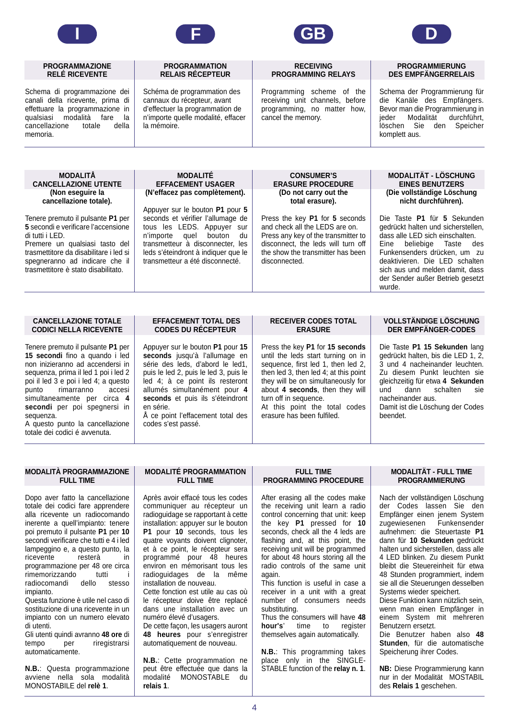

#### **PROGRAMMAZIONE RELÉ RICEVENTE**

Schema di programmazione dei canali della ricevente, prima di effettuare la programmazione in qualsiasi modalità fare la<br>cancellazione totale della cancellazione memoria.



#### **PROGRAMMATION RELAIS RÉCEPTEUR**

Schéma de programmation des cannaux du récepteur, avant d'effectuer la programmation de n'importe quelle modalité, effacer la mémoire.

#### **RECEIVING PROGRAMMING RELAYS**

Programming scheme of the receiving unit channels, before programming, no matter how, cancel the memory.



#### **PROGRAMMIERUNG DES EMPFÄNGERRELAIS**

Schema der Programmierung für die Kanäle des Empfängers. Bevor man die Programmierung in jeder Modalität durchführt, löschen Sie den Speicher komplett aus.

| <b>MODALITÀ</b><br><b>CANCELLAZIONE UTENTE</b><br>(Non eseguire la<br>cancellazione totale).<br>Tenere premuto il pulsante P1 per<br>5 secondi e verificare l'accensione<br>di tutti i LED.<br>Premere un qualsiasi tasto del<br>trasmettitore da disabilitare i led si<br>spegneranno ad indicare che il<br>trasmettitore è stato disabilitato. | <b>MODALITÉ</b><br><b>EFFACEMENT USAGER</b><br>(N'effacez pas complètement).<br>Appuyer sur le bouton P1 pour 5<br>seconds et vérifier l'allumage de<br>tous les LEDS. Appuyer sur<br>n'importe quel bouton du<br>transmetteur à disconnecter, les<br>leds s'éteindront à indiquer que le<br>transmetteur a été disconnecté. | <b>CONSUMER'S</b><br><b>ERASURE PROCEDURE</b><br>(Do not carry out the<br>total erasure).<br>Press the key P1 for 5 seconds<br>and check all the LEDS are on.<br>Press any key of the transmitter to<br>disconnect, the leds will turn off<br>the show the transmitter has been<br>disconnected. | <b>MODALITÄT - LÖSCHUNG</b><br><b>EINES BENUTZERS</b><br>(Die vollständige Löschung<br>nicht durchführen).<br>Die Taste P1 für 5 Sekunden<br>gedrückt halten und sicherstellen,<br>dass alle LED sich einschalten.<br>Eine beliebige Taste des<br>Funkensenders drücken, um zu<br>deaktivieren. Die LED schalten<br>sich aus und melden damit, dass |
|--------------------------------------------------------------------------------------------------------------------------------------------------------------------------------------------------------------------------------------------------------------------------------------------------------------------------------------------------|------------------------------------------------------------------------------------------------------------------------------------------------------------------------------------------------------------------------------------------------------------------------------------------------------------------------------|--------------------------------------------------------------------------------------------------------------------------------------------------------------------------------------------------------------------------------------------------------------------------------------------------|-----------------------------------------------------------------------------------------------------------------------------------------------------------------------------------------------------------------------------------------------------------------------------------------------------------------------------------------------------|
|                                                                                                                                                                                                                                                                                                                                                  |                                                                                                                                                                                                                                                                                                                              |                                                                                                                                                                                                                                                                                                  | der Sender außer Betrieb gesetzt<br>wurde.                                                                                                                                                                                                                                                                                                          |

#### **CANCELLAZIONE TOTALE CODICI NELLA RICEVENTE**

Tenere premuto il pulsante **P1** per **15 secondi** fino a quando i led non inizieranno ad accendersi in sequenza, prima il led 1 poi i led 2 poi il led 3 e poi i led 4; a questo<br>punto rimarranno accesi rimarranno simultaneamente per circa **4 secondi** per poi spegnersi in sequenza.

A questo punto la cancellazione totale dei codici é avvenuta.

#### **EFFACEMENT TOTAL DES CODES DU RÉCEPTEUR**

Appuyer sur le bouton **P1** pour **15 seconds** jusqu'à l'allumage en série des leds, d'abord le led1, puis le led 2, puis le led 3, puis le led 4; à ce point ils resteront allumés simultanément pour **4 seconds** et puis ils s'éteindront en série.

Å ce point l'effacement total des codes s'est passé.

#### **RECEIVER CODES TOTAL ERASURE**

Press the key **P1** for **15 seconds** until the leds start turning on in sequence, first led 1, then led 2, then led 3, then led 4; at this point they will be on simultaneously for about **4 seconds**, then they will turn off in sequence. At this point the total codes

erasure has been fulfiled.

#### **VOLLSTÄNDIGE LÖSCHUNG DER EMPFÄNGER-CODES**

| Die Taste P1 15 Sekunden lang                |
|----------------------------------------------|
| gedrückt halten, bis die LED 1, 2,           |
| 3 und 4 nacheinander leuchten.               |
| Zu diesem Punkt leuchten sie                 |
| gleichzeitig für etwa 4 Sekunden             |
| und dann schalten sie                        |
| nacheinander aus.                            |
| Damit ist die Löschung der Codes<br>beendet. |

#### **MODALITÀ PROGRAMMAZIONE FULL TIME**

Dopo aver fatto la cancellazione totale dei codici fare apprendere alla ricevente un radiocomando inerente a quell'impianto: tenere poi premuto il pulsante **P1** per **10** secondi verificare che tutti e 4 i led lampeggino e, a questo punto, la ricevente resterà in programmazione per 48 ore circa rimemorizzando tutti i<br>radiocomandi dello stesso radiocomandi dello stesso impianto.

Questa funzione è utile nel caso di sostituzione di una ricevente in un impianto con un numero elevato di utenti.

Gli utenti quindi avranno **48 ore** di riregistrarsi automaticamente.

**N.B.**: Questa programmazione avviene nella sola modalità MONOSTABILE del **relè 1**.

#### **MODALITÉ PROGRAMMATION FULL TIME**

Après avoir effacé tous les codes communiquer au récepteur un radioguidage se rapportant à cette installation: appuyer sur le bouton **P1** pour **10** seconds, tous les quatre voyants doivent clignoter, et à ce point, le récepteur sera programmé pour 48 heures environ en mémorisant tous les radioguidages de la même installation de nouveau.

Cette fonction est utile au cas où le récepteur doive être replacé dans une installation avec un numéro élevé d'usagers.

De cette façon, les usagers auront **48 heures** pour s'enregistrer automatiquement de nouveau.

**N.B.**: Cette programmation ne peut être effectuée que dans la modalité MONOSTABLE du **relais 1**.

#### **FULL TIME PROGRAMMING PROCEDURE**

After erasing all the codes make the receiving unit learn a radio control concerning that unit: keep the key **P1** pressed for **10** seconds, check all the 4 leds are flashing and, at this point, the receiving unit will be programmed for about 48 hours storing all the radio controls of the same unit again.

This function is useful in case a receiver in a unit with a great number of consumers needs substituting.

Thus the consumers will have **48 hour's**' time to register themselves again automatically.

**N.B.**: This programming takes place only in the SINGLE-STABLE function of the **relay n. 1**.

#### **MODALITÄT - FULL TIME PROGRAMMIERUNG**

Nach der vollständigen Löschung der Codes lassen Sie den Empfänger einen jenem System zugewiesenen Funkensender aufnehmen: die Steuertaste **P1** dann für **10 Sekunden** gedrückt halten und sicherstellen, dass alle 4 LED blinken. Zu diesem Punkt bleibt die Steuereinheit für etwa 48 Stunden programmiert, indem sie all die Steuerungen desselben Systems wieder speichert.

Diese Funktion kann nützlich sein, wenn man einen Empfänger in einem System mit mehreren Benutzern ersetzt.

Die Benutzer haben also **48 Stunden**, für die automatische Speicherung ihrer Codes.

**NB:** Diese Programmierung kann nur in der Modalität MOSTABIL des **Relais 1** geschehen.